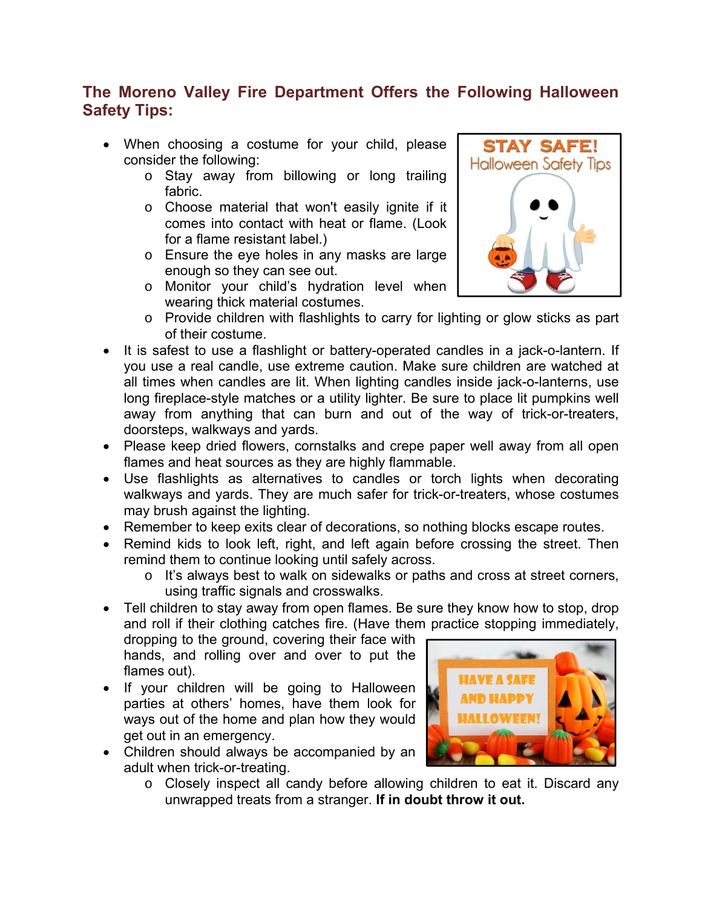# **The Moreno Valley Fire Department Offers the Following Halloween Safety Tips:**

- When choosing a costume for your child, please consider the following:
	- o Stay away from billowing or long trailing fabric.
	- o Choose material that won't easily ignite if it comes into contact with heat or flame. (Look for a flame resistant label.)
	- o Ensure the eye holes in any masks are large enough so they can see out.
	- o Monitor your child's hydration level when wearing thick material costumes.



- o Provide children with flashlights to carry for lighting or glow sticks as part of their costume.
- It is safest to use a flashlight or battery-operated candles in a jack-o-lantern. If you use a real candle, use extreme caution. Make sure children are watched at all times when candles are lit. When lighting candles inside jack-o-lanterns, use long fireplace-style matches or a utility lighter. Be sure to place lit pumpkins well away from anything that can burn and out of the way of trick-or-treaters, doorsteps, walkways and yards.
- Please keep dried flowers, cornstalks and crepe paper well away from all open flames and heat sources as they are highly flammable.
- Use flashlights as alternatives to candles or torch lights when decorating walkways and yards. They are much safer for trick-or-treaters, whose costumes may brush against the lighting.
- Remember to keep exits clear of decorations, so nothing blocks escape routes.
- Remind kids to look left, right, and left again before crossing the street. Then remind them to continue looking until safely across.
	- o It's always best to walk on sidewalks or paths and cross at street corners, using traffic signals and crosswalks.
- Tell children to stay away from open flames. Be sure they know how to stop, drop and roll if their clothing catches fire. (Have them practice stopping immediately,

dropping to the ground, covering their face with hands, and rolling over and over to put the flames out).

- If your children will be going to Halloween parties at others' homes, have them look for ways out of the home and plan how they would get out in an emergency.
- Children should always be accompanied by an adult when trick-or-treating.
- **HAVE A SAFE OWEEN!**
- o Closely inspect all candy before allowing children to eat it. Discard any unwrapped treats from a stranger. **If in doubt throw it out.**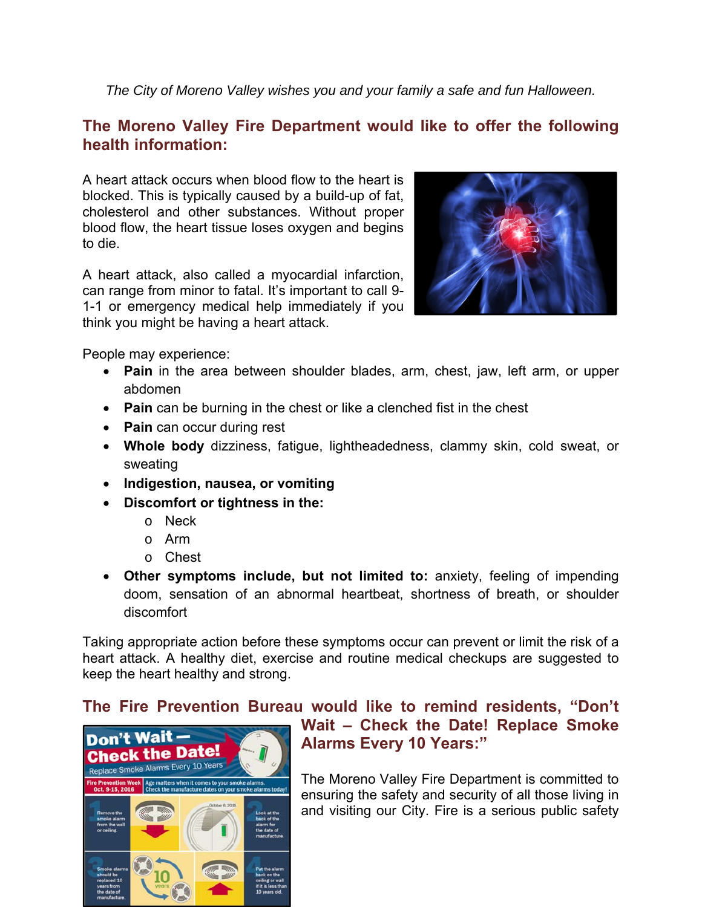*The City of Moreno Valley wishes you and your family a safe and fun Halloween.* 

# **The Moreno Valley Fire Department would like to offer the following health information:**

A heart attack occurs when blood flow to the heart is blocked. This is typically caused by a build-up of fat, cholesterol and other substances. Without proper blood flow, the heart tissue loses oxygen and begins to die.

A heart attack, also called a myocardial infarction, can range from minor to fatal. It's important to call 9- 1-1 or emergency medical help immediately if you think you might be having a heart attack.



People may experience:

- **Pain** in the area between shoulder blades, arm, chest, jaw, left arm, or upper abdomen
- **Pain** can be burning in the chest or like a clenched fist in the chest
- **Pain** can occur during rest
- **Whole body** dizziness, fatigue, lightheadedness, clammy skin, cold sweat, or sweating
- **Indigestion, nausea, or vomiting**
- **Discomfort or tightness in the:** 
	- o Neck
	- o Arm
	- o Chest
- **Other symptoms include, but not limited to:** anxiety, feeling of impending doom, sensation of an abnormal heartbeat, shortness of breath, or shoulder discomfort

Taking appropriate action before these symptoms occur can prevent or limit the risk of a heart attack. A healthy diet, exercise and routine medical checkups are suggested to keep the heart healthy and strong.

# **The Fire Prevention Bureau would like to remind residents, "Don't**



# **Wait – Check the Date! Replace Smoke Alarms Every 10 Years:"**

The Moreno Valley Fire Department is committed to ensuring the safety and security of all those living in and visiting our City. Fire is a serious public safety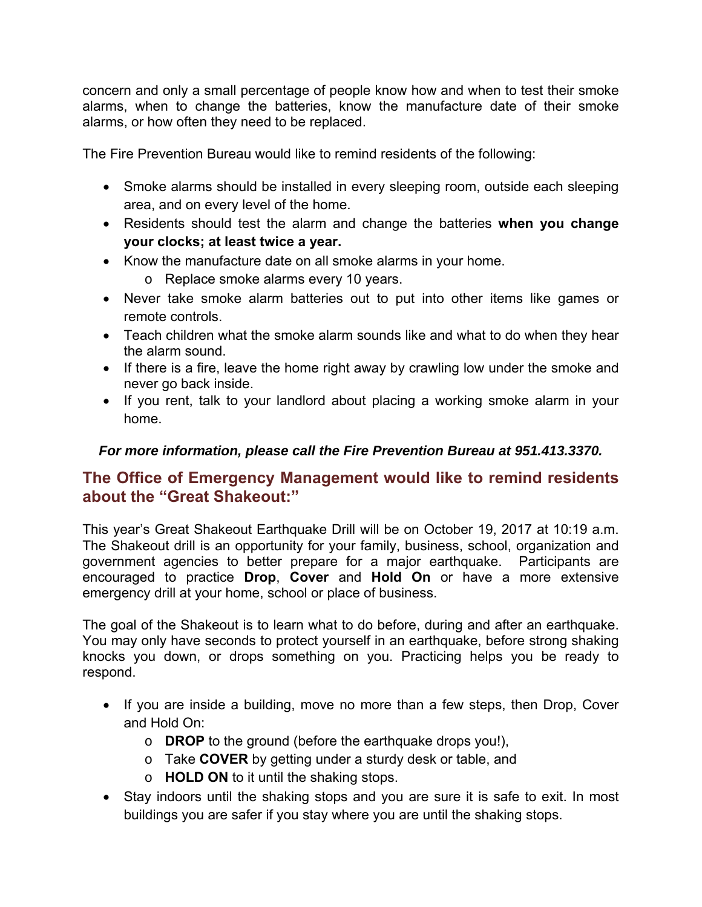concern and only a small percentage of people know how and when to test their smoke alarms, when to change the batteries, know the manufacture date of their smoke alarms, or how often they need to be replaced.

The Fire Prevention Bureau would like to remind residents of the following:

- Smoke alarms should be installed in every sleeping room, outside each sleeping area, and on every level of the home.
- Residents should test the alarm and change the batteries **when you change your clocks; at least twice a year.**
- Know the manufacture date on all smoke alarms in your home.

o Replace smoke alarms every 10 years.

- Never take smoke alarm batteries out to put into other items like games or remote controls.
- Teach children what the smoke alarm sounds like and what to do when they hear the alarm sound.
- If there is a fire, leave the home right away by crawling low under the smoke and never go back inside.
- If you rent, talk to your landlord about placing a working smoke alarm in your home.

#### *For more information, please call the Fire Prevention Bureau at 951.413.3370.*

# **The Office of Emergency Management would like to remind residents about the "Great Shakeout:"**

This year's Great Shakeout Earthquake Drill will be on October 19, 2017 at 10:19 a.m. The Shakeout drill is an opportunity for your family, business, school, organization and government agencies to better prepare for a major earthquake. Participants are encouraged to practice **Drop**, **Cover** and **Hold On** or have a more extensive emergency drill at your home, school or place of business.

The goal of the Shakeout is to learn what to do before, during and after an earthquake. You may only have seconds to protect yourself in an earthquake, before strong shaking knocks you down, or drops something on you. Practicing helps you be ready to respond.

- If you are inside a building, move no more than a few steps, then Drop, Cover and Hold On:
	- o **DROP** to the ground (before the earthquake drops you!),
	- o Take **COVER** by getting under a sturdy desk or table, and
	- o **HOLD ON** to it until the shaking stops.
- Stay indoors until the shaking stops and you are sure it is safe to exit. In most buildings you are safer if you stay where you are until the shaking stops.